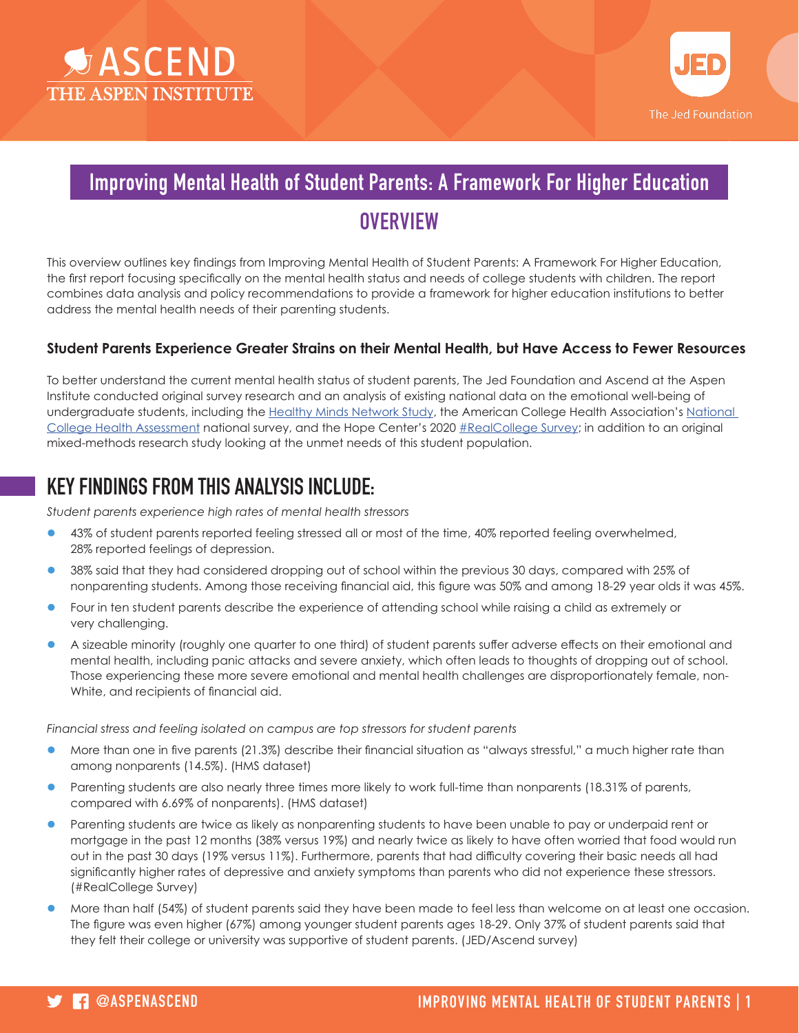



### Improving Mental Health of Student Parents: A Framework For Higher Education

# **OVERVIEW**

This overview outlines key findings from Improving Mental Health of Student Parents: A Framework For Higher Education, the first report focusing specifically on the mental health status and needs of college students with children. The report combines data analysis and policy recommendations to provide a framework for higher education institutions to better address the mental health needs of their parenting students.

### **Student Parents Experience Greater Strains on their Mental Health, but Have Access to Fewer Resources**

To better understand the current mental health status of student parents, The Jed Foundation and Ascend at the Aspen Institute conducted original survey research and an analysis of existing national data on the emotional well-being of undergraduate students, including the Healthy Minds Network Study, the American College Health Association's [National](https://www.acha.org/NCHA/NCHA_Home)  [College Health Assessment](https://www.acha.org/NCHA/NCHA_Home) national survey, and the Hope Center's 2020 [#RealCollege Survey](https://hope4college.com/realcollege-survey/#intro); in addition to an original mixed-methods research study looking at the unmet needs of this student population.

## KEY FINDINGS FROM THIS ANALYSIS INCLUDE:

*Student parents experience high rates of mental health stressors*

- l 43% of student parents reported feeling stressed all or most of the time, 40% reported feeling overwhelmed, 28% reported feelings of depression.
- l 38% said that they had considered dropping out of school within the previous 30 days, compared with 25% of nonparenting students. Among those receiving financial aid, this figure was 50% and among 18-29 year olds it was 45%.
- Four in ten student parents describe the experience of attending school while raising a child as extremely or very challenging.
- l A sizeable minority (roughly one quarter to one third) of student parents suffer adverse effects on their emotional and mental health, including panic attacks and severe anxiety, which often leads to thoughts of dropping out of school. Those experiencing these more severe emotional and mental health challenges are disproportionately female, non-White, and recipients of financial aid.

*Financial stress and feeling isolated on campus are top stressors for student parents*

- l More than one in five parents (21.3%) describe their financial situation as "always stressful," a much higher rate than among nonparents (14.5%). (HMS dataset)
- Parenting students are also nearly three times more likely to work full-time than nonparents (18.31% of parents, compared with 6.69% of nonparents). (HMS dataset)
- Parenting students are twice as likely as nonparenting students to have been unable to pay or underpaid rent or mortgage in the past 12 months (38% versus 19%) and nearly twice as likely to have often worried that food would run out in the past 30 days (19% versus 11%). Furthermore, parents that had difficulty covering their basic needs all had significantly higher rates of depressive and anxiety symptoms than parents who did not experience these stressors. (#RealCollege Survey)
- l More than half (54%) of student parents said they have been made to feel less than welcome on at least one occasion. The figure was even higher (67%) among younger student parents ages 18-29. Only 37% of student parents said that they felt their college or university was supportive of student parents. (JED/Ascend survey)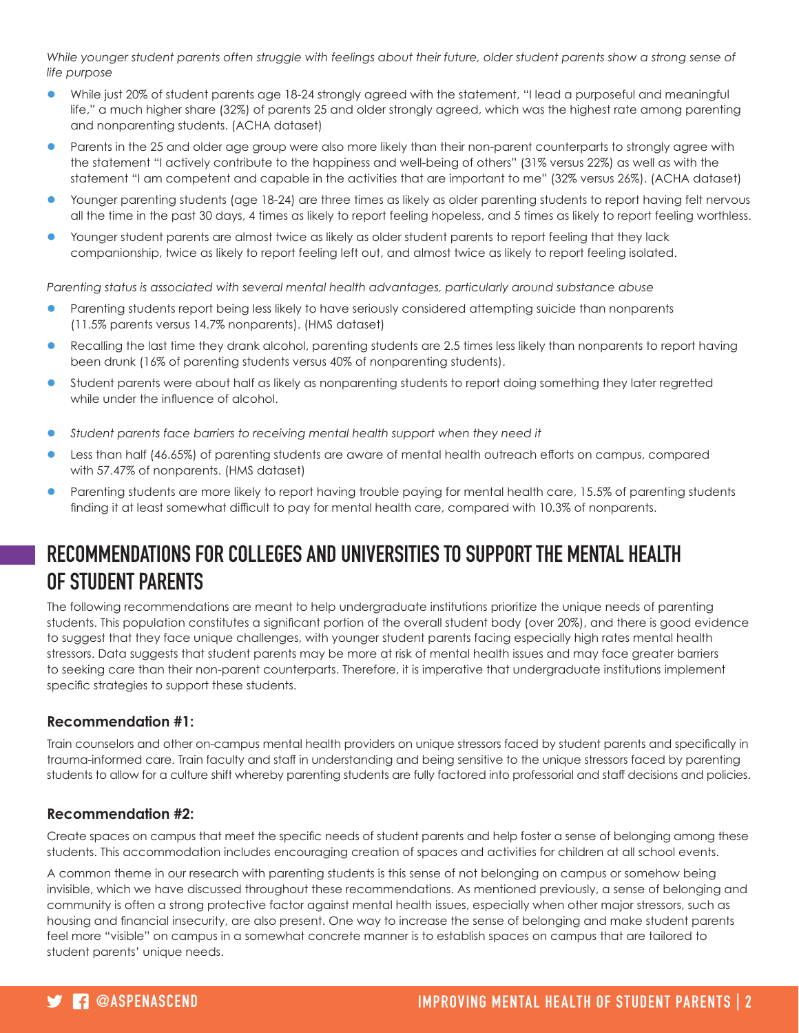While younger student parents often struggle with feelings about their future, older student parents show a strong sense of *life purpose*

- l While just 20% of student parents age 18-24 strongly agreed with the statement, "I lead a purposeful and meaningful life," a much higher share (32%) of parents 25 and older strongly agreed, which was the highest rate among parenting and nonparenting students. (ACHA dataset)
- Parents in the 25 and older age group were also more likely than their non-parent counterparts to strongly agree with the statement "I actively contribute to the happiness and well-being of others" (31% versus 22%) as well as with the statement "I am competent and capable in the activities that are important to me" (32% versus 26%). (ACHA dataset)
- Younger parenting students (age 18-24) are three times as likely as older parenting students to report having felt nervous all the time in the past 30 days, 4 times as likely to report feeling hopeless, and 5 times as likely to report feeling worthless.
- l Younger student parents are almost twice as likely as older student parents to report feeling that they lack companionship, twice as likely to report feeling left out, and almost twice as likely to report feeling isolated.

*Parenting status is associated with several mental health advantages, particularly around substance abuse*

- Parenting students report being less likely to have seriously considered attempting suicide than nonparents (11.5% parents versus 14.7% nonparents). (HMS dataset)
- Recalling the last time they drank alcohol, parenting students are 2.5 times less likely than nonparents to report having been drunk (16% of parenting students versus 40% of nonparenting students).
- Student parents were about half as likely as nonparenting students to report doing something they later regretted while under the influence of alcohol.
- l *Student parents face barriers to receiving mental health support when they need it*
- l Less than half (46.65%) of parenting students are aware of mental health outreach efforts on campus, compared with 57.47% of nonparents. (HMS dataset)
- Parenting students are more likely to report having trouble paying for mental health care, 15.5% of parenting students finding it at least somewhat difficult to pay for mental health care, compared with 10.3% of nonparents.

## RECOMMENDATIONS FOR COLLEGES AND UNIVERSITIES TO SUPPORT THE MENTAL HEALTH OF STUDENT PARENTS

The following recommendations are meant to help undergraduate institutions prioritize the unique needs of parenting students. This population constitutes a significant portion of the overall student body (over 20%), and there is good evidence to suggest that they face unique challenges, with younger student parents facing especially high rates mental health stressors. Data suggests that student parents may be more at risk of mental health issues and may face greater barriers to seeking care than their non-parent counterparts. Therefore, it is imperative that undergraduate institutions implement specific strategies to support these students.

#### **Recommendation #1:**

Train counselors and other on-campus mental health providers on unique stressors faced by student parents and specifically in trauma-informed care. Train faculty and staff in understanding and being sensitive to the unique stressors faced by parenting students to allow for a culture shift whereby parenting students are fully factored into professorial and staff decisions and policies.

#### **Recommendation #2:**

Create spaces on campus that meet the specific needs of student parents and help foster a sense of belonging among these students. This accommodation includes encouraging creation of spaces and activities for children at all school events.

A common theme in our research with parenting students is this sense of not belonging on campus or somehow being invisible, which we have discussed throughout these recommendations. As mentioned previously, a sense of belonging and community is often a strong protective factor against mental health issues, especially when other major stressors, such as housing and financial insecurity, are also present. One way to increase the sense of belonging and make student parents feel more "visible" on campus in a somewhat concrete manner is to establish spaces on campus that are tailored to student parents' unique needs.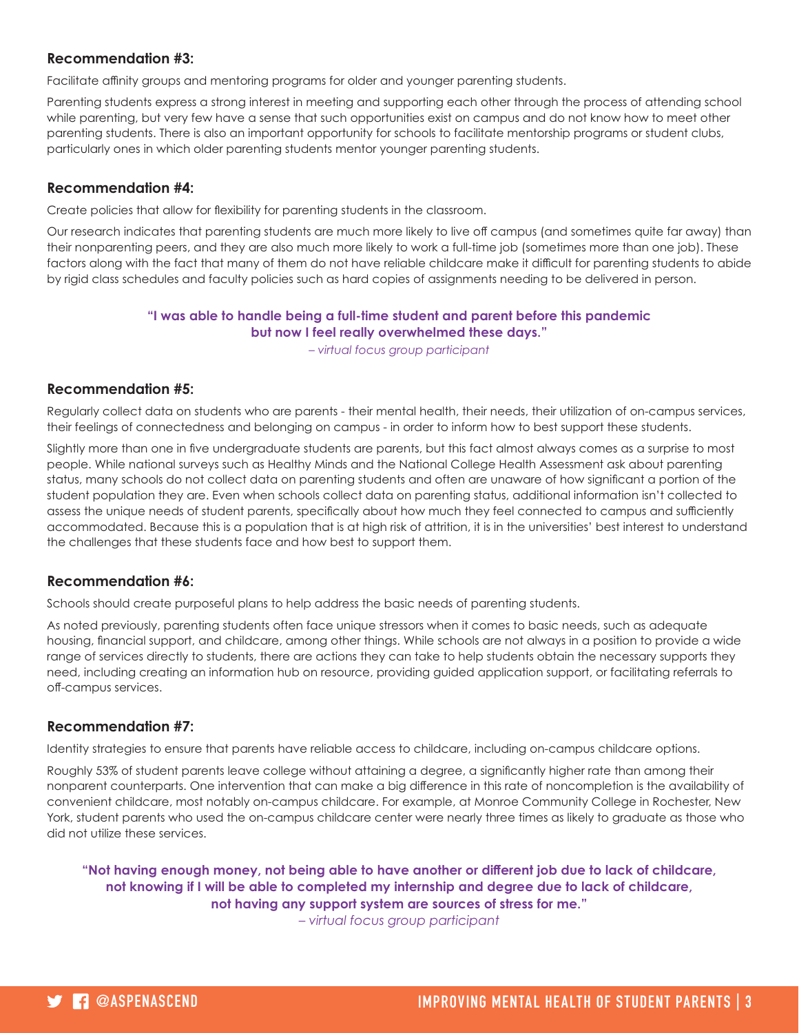#### **Recommendation #3:**

Facilitate affinity groups and mentoring programs for older and younger parenting students.

Parenting students express a strong interest in meeting and supporting each other through the process of attending school while parenting, but very few have a sense that such opportunities exist on campus and do not know how to meet other parenting students. There is also an important opportunity for schools to facilitate mentorship programs or student clubs, particularly ones in which older parenting students mentor younger parenting students.

#### **Recommendation #4:**

Create policies that allow for flexibility for parenting students in the classroom.

Our research indicates that parenting students are much more likely to live off campus (and sometimes quite far away) than their nonparenting peers, and they are also much more likely to work a full-time job (sometimes more than one job). These factors along with the fact that many of them do not have reliable childcare make it difficult for parenting students to abide by rigid class schedules and faculty policies such as hard copies of assignments needing to be delivered in person.

#### **"I was able to handle being a full-time student and parent before this pandemic but now I feel really overwhelmed these days."**

*– virtual focus group participant*

#### **Recommendation #5:**

Regularly collect data on students who are parents - their mental health, their needs, their utilization of on-campus services, their feelings of connectedness and belonging on campus - in order to inform how to best support these students.

Slightly more than one in five undergraduate students are parents, but this fact almost always comes as a surprise to most people. While national surveys such as Healthy Minds and the National College Health Assessment ask about parenting status, many schools do not collect data on parenting students and often are unaware of how significant a portion of the student population they are. Even when schools collect data on parenting status, additional information isn't collected to assess the unique needs of student parents, specifically about how much they feel connected to campus and sufficiently accommodated. Because this is a population that is at high risk of attrition, it is in the universities' best interest to understand the challenges that these students face and how best to support them.

#### **Recommendation #6:**

Schools should create purposeful plans to help address the basic needs of parenting students.

As noted previously, parenting students often face unique stressors when it comes to basic needs, such as adequate housing, financial support, and childcare, among other things. While schools are not always in a position to provide a wide range of services directly to students, there are actions they can take to help students obtain the necessary supports they need, including creating an information hub on resource, providing guided application support, or facilitating referrals to off-campus services.

#### **Recommendation #7:**

Identity strategies to ensure that parents have reliable access to childcare, including on-campus childcare options.

Roughly 53% of student parents leave college without attaining a degree, a significantly higher rate than among their nonparent counterparts. One intervention that can make a big difference in this rate of noncompletion is the availability of convenient childcare, most notably on-campus childcare. For example, at Monroe Community College in Rochester, New York, student parents who used the on-campus childcare center were nearly three times as likely to graduate as those who did not utilize these services.

**"Not having enough money, not being able to have another or different job due to lack of childcare, not knowing if I will be able to completed my internship and degree due to lack of childcare, not having any support system are sources of stress for me."** 

*– virtual focus group participant*